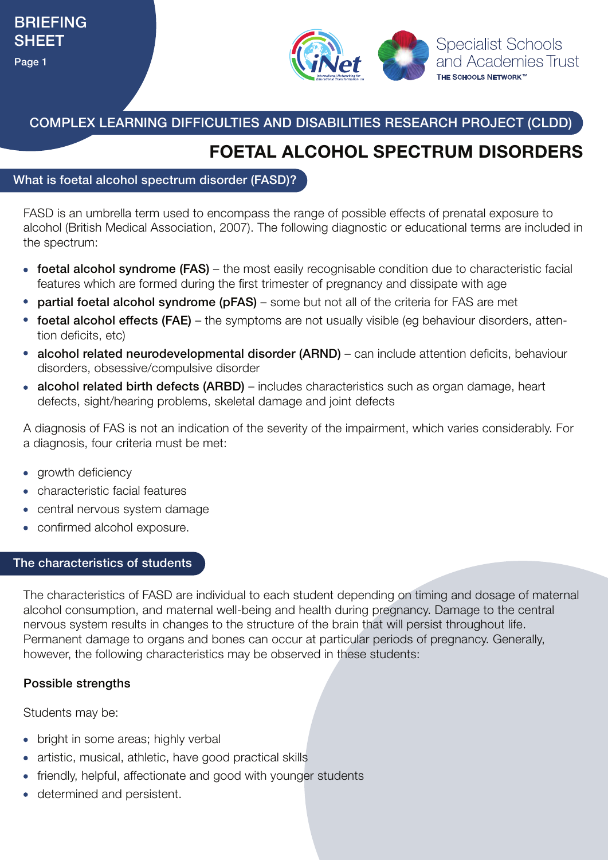

COMPLEX LEARNING DIFFICULTIES AND DISABILITIES RESEARCH PROJECT (CLDD)

## **FOETAL ALCOHOL SPECTRUM DISORDERS**

#### What is foetal alcohol spectrum disorder (FASD)?

FASD is an umbrella term used to encompass the range of possible effects of prenatal exposure to alcohol (British Medical Association, 2007). The following diagnostic or educational terms are included in the spectrum:

- foetal alcohol syndrome (FAS) the most easily recognisable condition due to characteristic facial features which are formed during the first trimester of pregnancy and dissipate with age
- partial foetal alcohol syndrome (pFAS) some but not all of the criteria for FAS are met
- foetal alcohol effects (FAE) the symptoms are not usually visible (eq behaviour disorders, attention deficits, etc)
- alcohol related neurodevelopmental disorder (ARND) can include attention deficits, behaviour disorders, obsessive/compulsive disorder
- alcohol related birth defects (ARBD) includes characteristics such as organ damage, heart defects, sight/hearing problems, skeletal damage and joint defects

A diagnosis of FAS is not an indication of the severity of the impairment, which varies considerably. For a diagnosis, four criteria must be met:

- growth deficiency
- characteristic facial features
- central nervous system damage
- confirmed alcohol exposure.

#### The characteristics of students

The characteristics of FASD are individual to each student depending on timing and dosage of maternal alcohol consumption, and maternal well-being and health during pregnancy. Damage to the central nervous system results in changes to the structure of the brain that will persist throughout life. Permanent damage to organs and bones can occur at particular periods of pregnancy. Generally, however, the following characteristics may be observed in these students:

### Possible strengths

Students may be:

- bright in some areas; highly verbal
- artistic, musical, athletic, have good practical skills
- friendly, helpful, affectionate and good with younger students
- determined and persistent.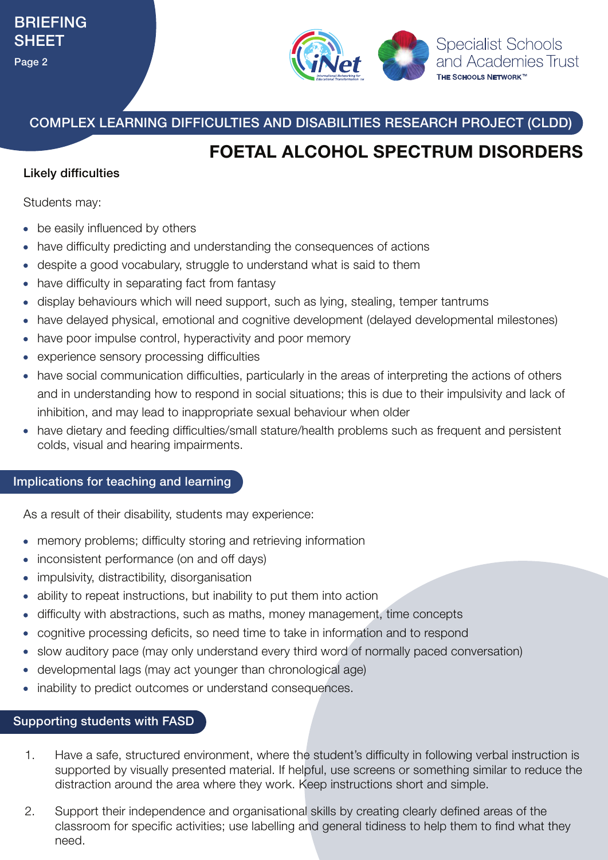

COMPLEX LEARNING DIFFICULTIES AND DISABILITIES RESEARCH PROJECT (CLDD)

# **FOETAL ALCOHOL SPECTRUM DISORDERS**

### Likely difficulties

Students may:

- be easily influenced by others
- have difficulty predicting and understanding the consequences of actions
- despite a good vocabulary, struggle to understand what is said to them
- have difficulty in separating fact from fantasy
- display behaviours which will need support, such as lying, stealing, temper tantrums
- have delayed physical, emotional and cognitive development (delayed developmental milestones)
- have poor impulse control, hyperactivity and poor memory
- experience sensory processing difficulties
- have social communication difficulties, particularly in the areas of interpreting the actions of others and in understanding how to respond in social situations; this is due to their impulsivity and lack of inhibition, and may lead to inappropriate sexual behaviour when older
- have dietary and feeding difficulties/small stature/health problems such as frequent and persistent colds, visual and hearing impairments.

#### Implications for teaching and learning

As a result of their disability, students may experience:

- memory problems; difficulty storing and retrieving information
- inconsistent performance (on and off days)
- impulsivity, distractibility, disorganisation
- ability to repeat instructions, but inability to put them into action
- difficulty with abstractions, such as maths, money management, time concepts
- cognitive processing deficits, so need time to take in information and to respond
- slow auditory pace (may only understand every third word of normally paced conversation)
- developmental lags (may act younger than chronological age)
- inability to predict outcomes or understand consequences.

#### Supporting students with FASD

- Have a safe, structured environment, where the student's difficulty in following verbal instruction is supported by visually presented material. If helpful, use screens or something similar to reduce the distraction around the area where they work. Keep instructions short and simple. 1.
- Support their independence and organisational skills by creating clearly defined areas of the classroom for specific activities; use labelling and general tidiness to help them to find what they need. 2.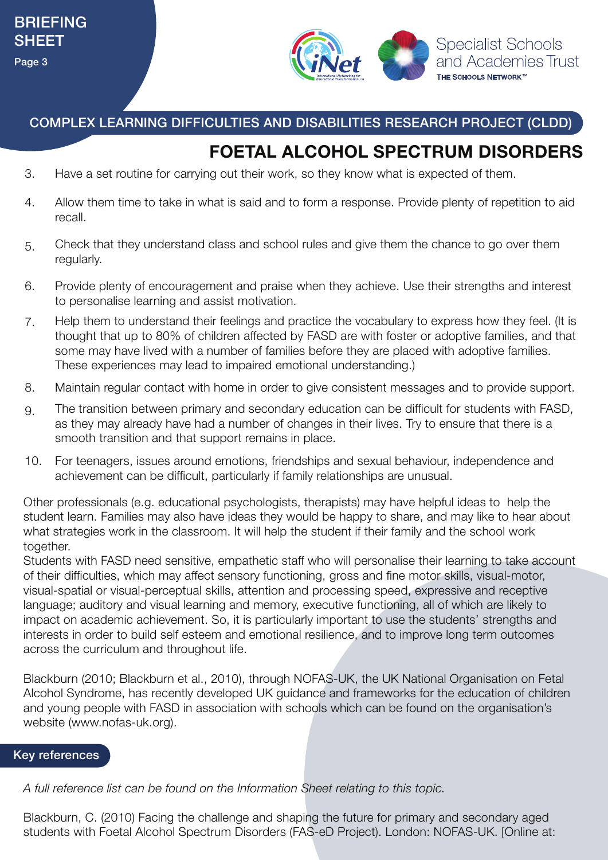

COMPLEX LEARNING DIFFICULTIES AND DISABILITIES RESEARCH PROJECT (CLDD)

## **FOETAL ALCOHOL SPECTRUM DISORDERS**

- 3. Have a set routine for carrying out their work, so they know what is expected of them.
- Allow them time to take in what is said and to form a response. Provide plenty of repetition to aid recall. 4.
- Check that they understand class and school rules and give them the chance to go over them regularly. 5.
- Provide plenty of encouragement and praise when they achieve. Use their strengths and interest to personalise learning and assist motivation. 6.
- Help them to understand their feelings and practice the vocabulary to express how they feel. (It is thought that up to 80% of children affected by FASD are with foster or adoptive families, and that some may have lived with a number of families before they are placed with adoptive families. These experiences may lead to impaired emotional understanding.) 7.
- 8. Maintain regular contact with home in order to give consistent messages and to provide support.
- The transition between primary and secondary education can be difficult for students with FASD, as they may already have had a number of changes in their lives. Try to ensure that there is a smooth transition and that support remains in place. 9.
- For teenagers, issues around emotions, friendships and sexual behaviour, independence and achievement can be difficult, particularly if family relationships are unusual. 10.

Other professionals (e.g. educational psychologists, therapists) may have helpful ideas to help the student learn. Families may also have ideas they would be happy to share, and may like to hear about what strategies work in the classroom. It will help the student if their family and the school work together.

Students with FASD need sensitive, empathetic staff who will personalise their learning to take account of their difficulties, which may affect sensory functioning, gross and fine motor skills, visual-motor, visual-spatial or visual-perceptual skills, attention and processing speed, expressive and receptive language; auditory and visual learning and memory, executive functioning, all of which are likely to impact on academic achievement. So, it is particularly important to use the students' strengths and interests in order to build self esteem and emotional resilience, and to improve long term outcomes across the curriculum and throughout life.

Blackburn (2010; Blackburn et al., 2010), through NOFAS-UK, the UK National Organisation on Fetal Alcohol Syndrome, has recently developed UK guidance and frameworks for the education of children and young people with FASD in association with schools which can be found on the organisation's website (www.nofas-uk.org).

### Key references

*A full reference list can be found on the Information Sheet relating to this topic.*

Blackburn, C. (2010) Facing the challenge and shaping the future for primary and secondary aged students with Foetal Alcohol Spectrum Disorders (FAS-eD Project). London: NOFAS-UK. [Online at: